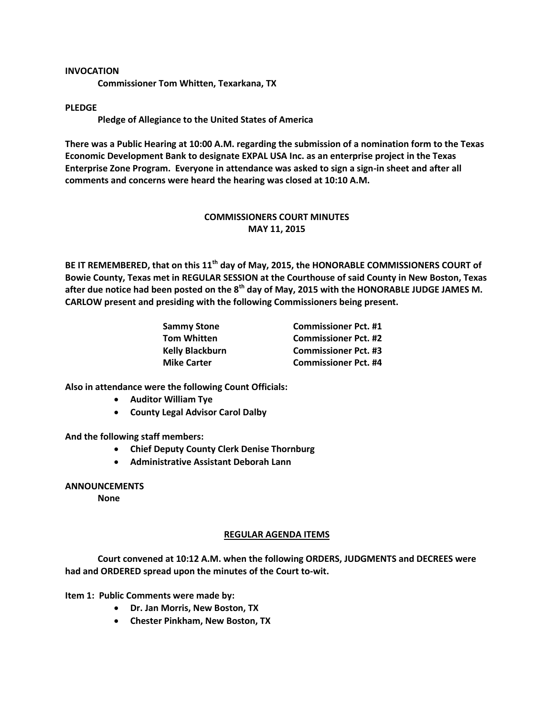## **INVOCATION**

**Commissioner Tom Whitten, Texarkana, TX**

## **PLEDGE**

**Pledge of Allegiance to the United States of America**

**There was a Public Hearing at 10:00 A.M. regarding the submission of a nomination form to the Texas Economic Development Bank to designate EXPAL USA Inc. as an enterprise project in the Texas Enterprise Zone Program. Everyone in attendance was asked to sign a sign-in sheet and after all comments and concerns were heard the hearing was closed at 10:10 A.M.**

## **COMMISSIONERS COURT MINUTES MAY 11, 2015**

**BE IT REMEMBERED, that on this 11th day of May, 2015, the HONORABLE COMMISSIONERS COURT of Bowie County, Texas met in REGULAR SESSION at the Courthouse of said County in New Boston, Texas after due notice had been posted on the 8th day of May, 2015 with the HONORABLE JUDGE JAMES M. CARLOW present and presiding with the following Commissioners being present.**

| <b>Sammy Stone</b>     | <b>Commissioner Pct. #1</b> |
|------------------------|-----------------------------|
| <b>Tom Whitten</b>     | <b>Commissioner Pct. #2</b> |
| <b>Kelly Blackburn</b> | <b>Commissioner Pct. #3</b> |
| <b>Mike Carter</b>     | <b>Commissioner Pct. #4</b> |

**Also in attendance were the following Count Officials:**

- **Auditor William Tye**
- **County Legal Advisor Carol Dalby**

**And the following staff members:**

- **Chief Deputy County Clerk Denise Thornburg**
- **Administrative Assistant Deborah Lann**

**ANNOUNCEMENTS**

**None**

## **REGULAR AGENDA ITEMS**

**Court convened at 10:12 A.M. when the following ORDERS, JUDGMENTS and DECREES were had and ORDERED spread upon the minutes of the Court to-wit.**

**Item 1: Public Comments were made by:**

- **Dr. Jan Morris, New Boston, TX**
- **Chester Pinkham, New Boston, TX**